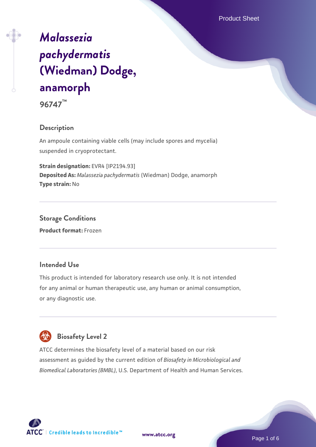Product Sheet

# *[Malassezia](https://www.atcc.org/products/96747) [pachydermatis](https://www.atcc.org/products/96747)* **[\(Wiedman\) Dodge,](https://www.atcc.org/products/96747) [anamorph](https://www.atcc.org/products/96747)**

**96747™**

# **Description**

An ampoule containing viable cells (may include spores and mycelia) suspended in cryoprotectant.

**Strain designation:** EVR4 [IP2194.93] **Deposited As:** *Malassezia pachydermatis* (Wiedman) Dodge, anamorph **Type strain:** No

**Storage Conditions Product format:** Frozen

# **Intended Use**

This product is intended for laboratory research use only. It is not intended for any animal or human therapeutic use, any human or animal consumption, or any diagnostic use.



# **Biosafety Level 2**

ATCC determines the biosafety level of a material based on our risk assessment as guided by the current edition of *Biosafety in Microbiological and Biomedical Laboratories (BMBL)*, U.S. Department of Health and Human Services.

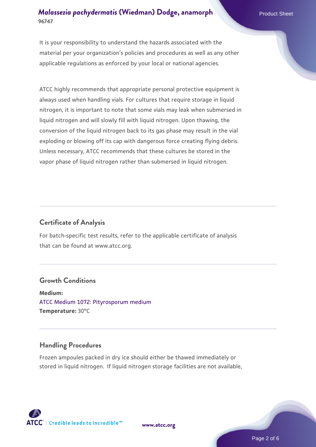It is your responsibility to understand the hazards associated with the material per your organization's policies and procedures as well as any other applicable regulations as enforced by your local or national agencies.

ATCC highly recommends that appropriate personal protective equipment is always used when handling vials. For cultures that require storage in liquid nitrogen, it is important to note that some vials may leak when submersed in liquid nitrogen and will slowly fill with liquid nitrogen. Upon thawing, the conversion of the liquid nitrogen back to its gas phase may result in the vial exploding or blowing off its cap with dangerous force creating flying debris. Unless necessary, ATCC recommends that these cultures be stored in the vapor phase of liquid nitrogen rather than submersed in liquid nitrogen.

#### **Certificate of Analysis**

For batch-specific test results, refer to the applicable certificate of analysis that can be found at www.atcc.org.

#### **Growth Conditions**

**Medium:**  [ATCC Medium 1072: Pityrosporum medium](https://www.atcc.org/-/media/product-assets/documents/microbial-media-formulations/atcc-medium-1072.pdf?rev=d7d9b04a48f44890879a8eb7868bf5cc) **Temperature:** 30°C

# **Handling Procedures**

Frozen ampoules packed in dry ice should either be thawed immediately or stored in liquid nitrogen. If liquid nitrogen storage facilities are not available,



**[www.atcc.org](http://www.atcc.org)**

Page 2 of 6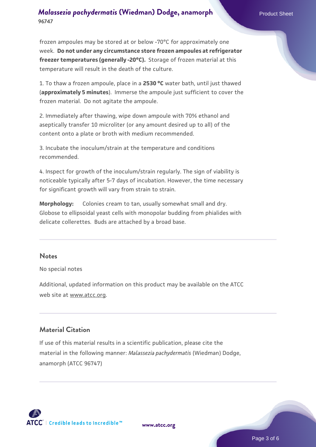frozen ampoules may be stored at or below -70°C for approximately one week. **Do not under any circumstance store frozen ampoules at refrigerator freezer temperatures (generally -20°C).** Storage of frozen material at this temperature will result in the death of the culture.

1. To thaw a frozen ampoule, place in a **2530 °C** water bath, until just thawed (**approximately 5 minutes**). Immerse the ampoule just sufficient to cover the frozen material. Do not agitate the ampoule.

2. Immediately after thawing, wipe down ampoule with 70% ethanol and aseptically transfer 10 microliter (or any amount desired up to all) of the content onto a plate or broth with medium recommended.

3. Incubate the inoculum/strain at the temperature and conditions recommended.

4. Inspect for growth of the inoculum/strain regularly. The sign of viability is noticeable typically after 5-7 days of incubation. However, the time necessary for significant growth will vary from strain to strain.

**Morphology:** Colonies cream to tan, usually somewhat small and dry. Globose to ellipsoidal yeast cells with monopolar budding from phialides with delicate collerettes. Buds are attached by a broad base.

#### **Notes**

No special notes

Additional, updated information on this product may be available on the ATCC web site at www.atcc.org.

#### **Material Citation**

If use of this material results in a scientific publication, please cite the material in the following manner: *Malassezia pachydermatis* (Wiedman) Dodge, anamorph (ATCC 96747)



**[www.atcc.org](http://www.atcc.org)**

Page 3 of 6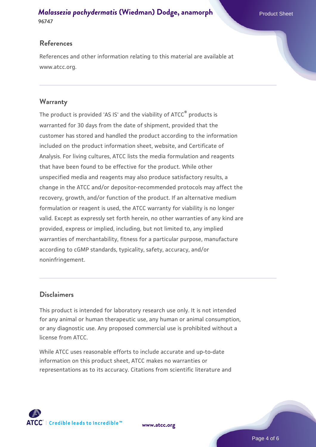#### **References**

References and other information relating to this material are available at www.atcc.org.

#### **Warranty**

The product is provided 'AS IS' and the viability of ATCC® products is warranted for 30 days from the date of shipment, provided that the customer has stored and handled the product according to the information included on the product information sheet, website, and Certificate of Analysis. For living cultures, ATCC lists the media formulation and reagents that have been found to be effective for the product. While other unspecified media and reagents may also produce satisfactory results, a change in the ATCC and/or depositor-recommended protocols may affect the recovery, growth, and/or function of the product. If an alternative medium formulation or reagent is used, the ATCC warranty for viability is no longer valid. Except as expressly set forth herein, no other warranties of any kind are provided, express or implied, including, but not limited to, any implied warranties of merchantability, fitness for a particular purpose, manufacture according to cGMP standards, typicality, safety, accuracy, and/or noninfringement.

#### **Disclaimers**

This product is intended for laboratory research use only. It is not intended for any animal or human therapeutic use, any human or animal consumption, or any diagnostic use. Any proposed commercial use is prohibited without a license from ATCC.

While ATCC uses reasonable efforts to include accurate and up-to-date information on this product sheet, ATCC makes no warranties or representations as to its accuracy. Citations from scientific literature and



**[www.atcc.org](http://www.atcc.org)**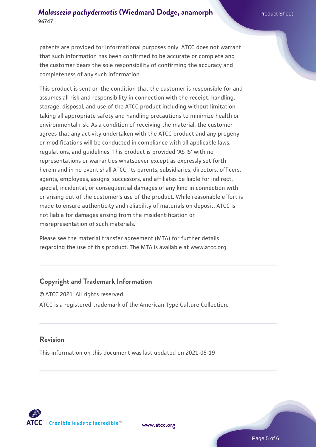patents are provided for informational purposes only. ATCC does not warrant that such information has been confirmed to be accurate or complete and the customer bears the sole responsibility of confirming the accuracy and completeness of any such information.

This product is sent on the condition that the customer is responsible for and assumes all risk and responsibility in connection with the receipt, handling, storage, disposal, and use of the ATCC product including without limitation taking all appropriate safety and handling precautions to minimize health or environmental risk. As a condition of receiving the material, the customer agrees that any activity undertaken with the ATCC product and any progeny or modifications will be conducted in compliance with all applicable laws, regulations, and guidelines. This product is provided 'AS IS' with no representations or warranties whatsoever except as expressly set forth herein and in no event shall ATCC, its parents, subsidiaries, directors, officers, agents, employees, assigns, successors, and affiliates be liable for indirect, special, incidental, or consequential damages of any kind in connection with or arising out of the customer's use of the product. While reasonable effort is made to ensure authenticity and reliability of materials on deposit, ATCC is not liable for damages arising from the misidentification or misrepresentation of such materials.

Please see the material transfer agreement (MTA) for further details regarding the use of this product. The MTA is available at www.atcc.org.

#### **Copyright and Trademark Information**

© ATCC 2021. All rights reserved. ATCC is a registered trademark of the American Type Culture Collection.

#### **Revision**

This information on this document was last updated on 2021-05-19